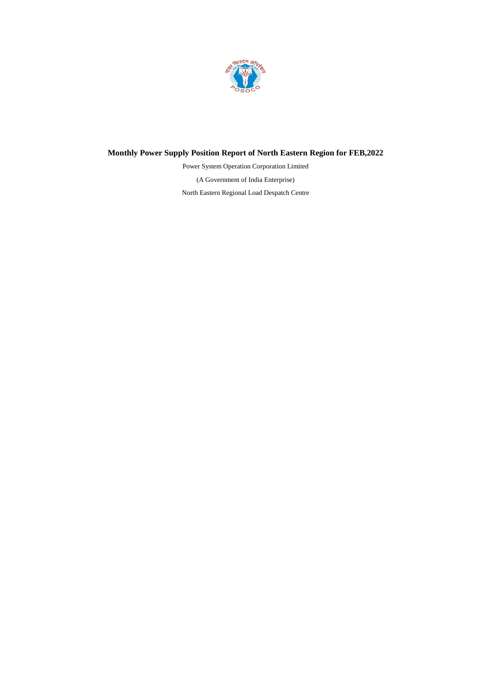

# **Monthly Power Supply Position Report of North Eastern Region for FEB,2022**

(A Government of India Enterprise) North Eastern Regional Load Despatch Centre Power System Operation Corporation Limited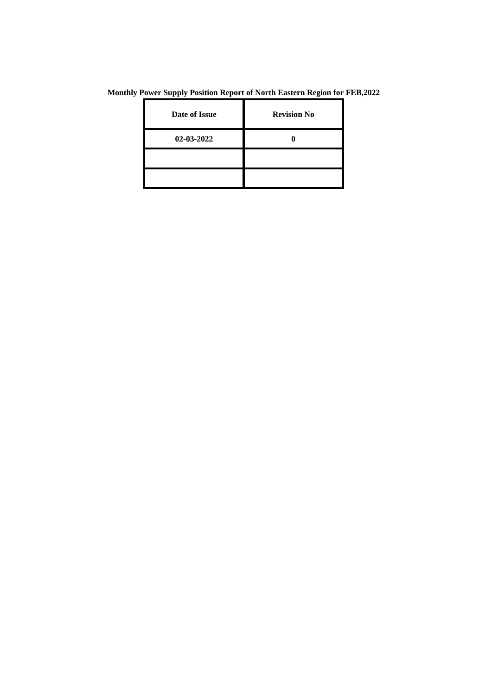**Monthly Power Supply Position Report of North Eastern Region for FEB,2022**

| Date of Issue | <b>Revision No</b> |
|---------------|--------------------|
| 02-03-2022    |                    |
|               |                    |
|               |                    |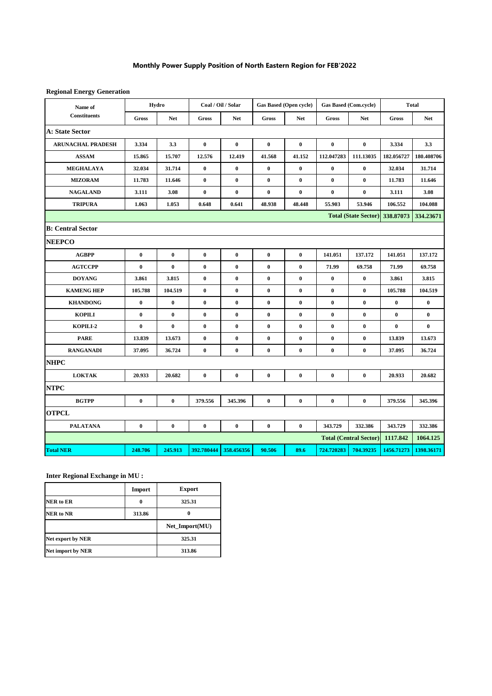## **Monthly Power Supply Position of North Eastern Region for FEB'2022**

**Regional Energy Generation**

| Name of                  |                  | Hydro            | Coal / Oil / Solar |            | <b>Gas Based (Open cycle)</b> |                  | <b>Gas Based (Com.cycle)</b> |                                | <b>Total</b> |            |
|--------------------------|------------------|------------------|--------------------|------------|-------------------------------|------------------|------------------------------|--------------------------------|--------------|------------|
| <b>Constituents</b>      | $\mathbf{Gross}$ | <b>Net</b>       | $\mathbf{Gross}$   | <b>Net</b> | <b>Gross</b>                  | <b>Net</b>       | <b>Gross</b>                 | <b>Net</b>                     | <b>Gross</b> | <b>Net</b> |
| <b>A: State Sector</b>   |                  |                  |                    |            |                               |                  |                              |                                |              |            |
| <b>ARUNACHAL PRADESH</b> | 3.334            | 3.3              | $\bf{0}$           | $\bf{0}$   | $\bf{0}$                      | $\bf{0}$         | $\bf{0}$                     | $\bf{0}$                       | 3.334        | 3.3        |
| <b>ASSAM</b>             | 15.865           | 15.707           | 12.576             | 12.419     | 41.568                        | 41.152           | 112.047283                   | 111.13035                      | 182.056727   | 180.408706 |
| <b>MEGHALAYA</b>         | 32.034           | 31.714           | $\bf{0}$           | $\bf{0}$   | $\bf{0}$                      | $\bf{0}$         | $\bf{0}$                     | $\bf{0}$                       | 32.034       | 31.714     |
| <b>MIZORAM</b>           | 11.783           | 11.646           | $\bf{0}$           | $\bf{0}$   | $\bf{0}$                      | $\bf{0}$         | $\bf{0}$                     | $\bf{0}$                       | 11.783       | 11.646     |
| <b>NAGALAND</b>          | 3.111            | 3.08             | $\bf{0}$           | $\bf{0}$   | $\bf{0}$                      | $\bf{0}$         | $\bf{0}$                     | $\bf{0}$                       | 3.111        | 3.08       |
| <b>TRIPURA</b>           | 1.063            | 1.053            | 0.648              | 0.641      | 48.938                        | 48.448           | 55.903                       | 53.946                         | 106.552      | 104.088    |
|                          |                  |                  |                    |            |                               |                  |                              | Total (State Sector) 338.87073 |              | 334.23671  |
| <b>B: Central Sector</b> |                  |                  |                    |            |                               |                  |                              |                                |              |            |
| <b>NEEPCO</b>            |                  |                  |                    |            |                               |                  |                              |                                |              |            |
| <b>AGBPP</b>             | $\pmb{0}$        | $\pmb{0}$        | $\pmb{0}$          | $\bf{0}$   | $\bf{0}$                      | $\pmb{0}$        | 141.051                      | 137.172                        | 141.051      | 137.172    |
| <b>AGTCCPP</b>           | $\bf{0}$         | $\bf{0}$         | $\bf{0}$           | $\bf{0}$   | $\bf{0}$                      | $\bf{0}$         | 71.99                        | 69.758                         | 71.99        | 69.758     |
| <b>DOYANG</b>            | 3.861            | 3.815            | $\bf{0}$           | $\bf{0}$   | $\bf{0}$                      | $\bf{0}$         | $\bf{0}$                     | $\bf{0}$                       | 3.861        | 3.815      |
| <b>KAMENG HEP</b>        | 105.788          | 104.519          | $\bf{0}$           | $\bf{0}$   | $\bf{0}$                      | $\bf{0}$         | $\bf{0}$                     | $\bf{0}$                       | 105.788      | 104.519    |
| <b>KHANDONG</b>          | $\bf{0}$         | $\bf{0}$         | $\bf{0}$           | $\bf{0}$   | $\bf{0}$                      | $\bf{0}$         | $\bf{0}$                     | $\bf{0}$                       | $\bf{0}$     | $\bf{0}$   |
| <b>KOPILI</b>            | $\bf{0}$         | $\bf{0}$         | $\bf{0}$           | $\bf{0}$   | $\bf{0}$                      | $\bf{0}$         | $\bf{0}$                     | $\bf{0}$                       | $\bf{0}$     | $\bf{0}$   |
| KOPILI-2                 | $\bf{0}$         | $\bf{0}$         | $\bf{0}$           | $\bf{0}$   | $\bf{0}$                      | $\bf{0}$         | $\bf{0}$                     | $\bf{0}$                       | $\bf{0}$     | $\bf{0}$   |
| <b>PARE</b>              | 13.839           | 13.673           | $\bf{0}$           | $\bf{0}$   | $\bf{0}$                      | $\bf{0}$         | $\bf{0}$                     | $\bf{0}$                       | 13.839       | 13.673     |
| <b>RANGANADI</b>         | 37.095           | 36.724           | $\pmb{0}$          | $\pmb{0}$  | $\pmb{0}$                     | $\pmb{0}$        | $\pmb{0}$                    | $\bf{0}$                       | 37.095       | 36.724     |
| <b>NHPC</b>              |                  |                  |                    |            |                               |                  |                              |                                |              |            |
| <b>LOKTAK</b>            | 20.933           | 20.682           | $\bf{0}$           | $\bf{0}$   | $\bf{0}$                      | $\bf{0}$         | $\bf{0}$                     | $\bf{0}$                       | 20.933       | 20.682     |
| <b>NTPC</b>              |                  |                  |                    |            |                               |                  |                              |                                |              |            |
| <b>BGTPP</b>             | $\bf{0}$         | $\bf{0}$         | 379.556            | 345.396    | $\bf{0}$                      | $\bf{0}$         | $\bf{0}$                     | $\bf{0}$                       | 379.556      | 345.396    |
| <b>OTPCL</b>             |                  |                  |                    |            |                               |                  |                              |                                |              |            |
| <b>PALATANA</b>          | $\boldsymbol{0}$ | $\boldsymbol{0}$ | $\boldsymbol{0}$   | $\pmb{0}$  | $\pmb{0}$                     | $\boldsymbol{0}$ | 343.729                      | 332.386                        | 343.729      | 332.386    |
|                          |                  |                  |                    |            |                               |                  |                              | <b>Total (Central Sector)</b>  | 1117.842     | 1064.125   |
| <b>Total NER</b>         | 248.706          | 245.913          | 392.780444         | 358.456356 | 90.506                        | 89.6             | 724.720283                   | 704.39235                      | 1456.71273   | 1398.36171 |

**Inter Regional Exchange in MU :**

|                            | Import | <b>Export</b>  |  |
|----------------------------|--------|----------------|--|
| <b>NER</b> to ER           | 0      | 325.31         |  |
| <b>NER</b> to NR<br>313.86 |        |                |  |
|                            |        | Net_Import(MU) |  |
| <b>Net export by NER</b>   | 325.31 |                |  |
| <b>Net import by NER</b>   | 313.86 |                |  |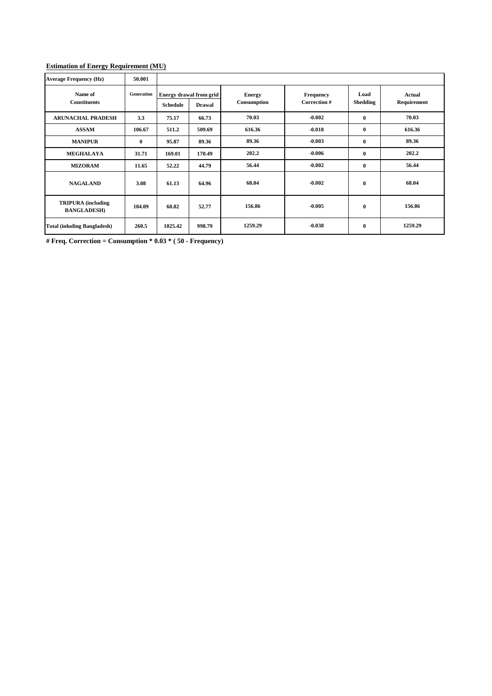### **Estimation of Energy Requirement (MU)**

| <b>Average Frequency (Hz)</b>                   | 50.001            |                 |                                                 |                              |                                  |                         |                              |
|-------------------------------------------------|-------------------|-----------------|-------------------------------------------------|------------------------------|----------------------------------|-------------------------|------------------------------|
| Name of<br><b>Constituents</b>                  | <b>Generation</b> | <b>Schedule</b> | <b>Energy drawal from grid</b><br><b>Drawal</b> | <b>Energy</b><br>Consumption | <b>Frequency</b><br>Correction # | Load<br><b>Shedding</b> | <b>Actual</b><br>Requirement |
| <b>ARUNACHAL PRADESH</b>                        | 3.3               | 75.17           | 66.73                                           | 70.03                        | $-0.002$                         | $\mathbf{0}$            | 70.03                        |
| <b>ASSAM</b>                                    | 106.67            | 511.2           | 509.69                                          | 616.36                       | $-0.018$                         | $\bf{0}$                | 616.36                       |
| <b>MANIPUR</b>                                  | $\mathbf{0}$      | 95.87           | 89.36                                           | 89.36                        | $-0.003$                         | $\mathbf 0$             | 89.36                        |
| <b>MEGHALAYA</b>                                | 31.71             | 169.01          | 170.49                                          | 202.2                        | $-0.006$                         | $\mathbf{0}$            | 202.2                        |
| <b>MIZORAM</b>                                  | 11.65             | 52.22           | 44.79                                           | 56.44                        | $-0.002$                         | $\mathbf{0}$            | 56.44                        |
| <b>NAGALAND</b>                                 | 3.08              | 61.13           | 64.96                                           | 68.04                        | $-0.002$                         | $\bf{0}$                | 68.04                        |
| <b>TRIPURA</b> (including<br><b>BANGLADESH)</b> | 104.09            | 60.82           | 52.77                                           | 156.86                       | $-0.005$                         | $\bf{0}$                | 156.86                       |
| <b>Total (inluding Bangladesh)</b>              | 260.5             | 1025.42         | 998.79                                          | 1259.29                      | $-0.038$                         | $\bf{0}$                | 1259.29                      |

**# Freq. Correction = Consumption \* 0.03 \* ( 50 - Frequency)**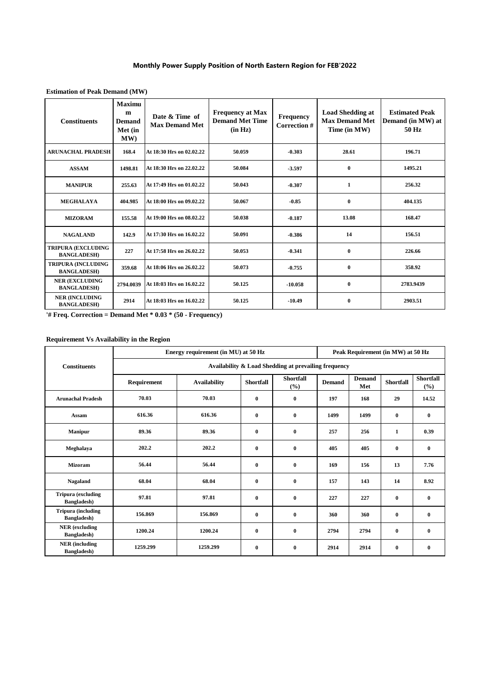## **Monthly Power Supply Position of North Eastern Region for FEB'2022**

| <b>Constituents</b>                             | <b>Maximu</b><br>m<br><b>Demand</b><br>Met (in<br>MW) | Date & Time of<br><b>Max Demand Met</b> | <b>Frequency at Max</b><br><b>Demand Met Time</b><br>(in Hz) | Frequency<br>Correction # | <b>Load Shedding at</b><br><b>Max Demand Met</b><br>Time (in MW) | <b>Estimated Peak</b><br>Demand (in MW) at<br>50 Hz |
|-------------------------------------------------|-------------------------------------------------------|-----------------------------------------|--------------------------------------------------------------|---------------------------|------------------------------------------------------------------|-----------------------------------------------------|
| <b>ARUNACHAL PRADESH</b>                        | 168.4                                                 | At 18:30 Hrs on 02.02.22                | 50.059                                                       | $-0.303$                  | 28.61                                                            | 196.71                                              |
| <b>ASSAM</b>                                    | 1498.81                                               | At 18:30 Hrs on 22.02.22                | 50.084                                                       | $-3.597$                  | $\mathbf{0}$                                                     | 1495.21                                             |
| <b>MANIPUR</b>                                  | 255.63                                                | At 17:49 Hrs on 01.02.22                | 50.043                                                       | $-0.307$                  | 1                                                                | 256.32                                              |
| <b>MEGHALAYA</b>                                | 404.985                                               | At 18:00 Hrs on 09.02.22                | 50.067                                                       | $-0.85$                   | $\mathbf{0}$                                                     | 404.135                                             |
| <b>MIZORAM</b>                                  | 155.58                                                | At 19:00 Hrs on 08.02.22                | 50.038                                                       | $-0.187$                  | 13.08                                                            | 168.47                                              |
| <b>NAGALAND</b>                                 | 142.9                                                 | At 17:30 Hrs on 16.02.22                | 50.091                                                       | $-0.386$                  | 14                                                               | 156.51                                              |
| <b>TRIPURA (EXCLUDING</b><br><b>BANGLADESH)</b> | 227                                                   | At 17:58 Hrs on 26.02.22                | 50.053                                                       | $-0.341$                  | $\mathbf{0}$                                                     | 226.66                                              |
| <b>TRIPURA (INCLUDING</b><br><b>BANGLADESH)</b> | 359.68                                                | At 18:06 Hrs on 26.02.22                | 50.073                                                       | $-0.755$                  | $\mathbf{0}$                                                     | 358.92                                              |
| <b>NER (EXCLUDING</b><br><b>BANGLADESH)</b>     | 2794.0039                                             | At 18:03 Hrs on 16.02.22                | 50.125                                                       | $-10.058$                 | $\bf{0}$                                                         | 2783.9439                                           |
| <b>NER (INCLUDING</b><br><b>BANGLADESH)</b>     | 2914                                                  | At 18:03 Hrs on 16.02.22                | 50.125                                                       | $-10.49$                  | $\bf{0}$                                                         | 2903.51                                             |

**Estimation of Peak Demand (MW)**

**'# Freq. Correction = Demand Met \* 0.03 \* (50 - Frequency)**

#### **Requirement Vs Availability in the Region**

|                                                  |                                                      | Energy requirement (in MU) at 50 Hz | Peak Requirement (in MW) at 50 Hz |                         |               |                      |                  |                         |  |  |  |  |
|--------------------------------------------------|------------------------------------------------------|-------------------------------------|-----------------------------------|-------------------------|---------------|----------------------|------------------|-------------------------|--|--|--|--|
| <b>Constituents</b>                              | Availability & Load Shedding at prevailing frequency |                                     |                                   |                         |               |                      |                  |                         |  |  |  |  |
|                                                  | Requirement                                          | <b>Availability</b>                 | <b>Shortfall</b>                  | <b>Shortfall</b><br>(%) | <b>Demand</b> | <b>Demand</b><br>Met | <b>Shortfall</b> | <b>Shortfall</b><br>(%) |  |  |  |  |
| <b>Arunachal Pradesh</b>                         | 70.03                                                | 70.03                               | $\bf{0}$                          | $\bf{0}$                | 197           | 168                  | 29               | 14.52                   |  |  |  |  |
| Assam                                            | 616.36                                               | 616.36                              | $\bf{0}$                          | $\bf{0}$                | 1499          | 1499                 | $\mathbf{0}$     | $\bf{0}$                |  |  |  |  |
| <b>Manipur</b>                                   | 89.36                                                | 89.36                               | $\bf{0}$                          | $\bf{0}$                | 257           | 256                  | 1                | 0.39                    |  |  |  |  |
| Meghalaya                                        | 202.2                                                | 202.2                               | $\bf{0}$                          | $\bf{0}$                | 405           | 405                  | $\bf{0}$         | $\bf{0}$                |  |  |  |  |
| <b>Mizoram</b>                                   | 56.44                                                | 56.44                               | $\bf{0}$                          | $\bf{0}$                | 169           | 156                  | 13               | 7.76                    |  |  |  |  |
| <b>Nagaland</b>                                  | 68.04                                                | 68.04                               | $\bf{0}$                          | $\bf{0}$                | 157           | 143                  | 14               | 8.92                    |  |  |  |  |
| <b>Tripura (excluding</b><br><b>Bangladesh</b> ) | 97.81                                                | 97.81                               | $\bf{0}$                          | $\bf{0}$                | 227           | 227                  | $\bf{0}$         | $\bf{0}$                |  |  |  |  |
| <b>Tripura</b> (including<br><b>Bangladesh</b> ) | 156.869                                              | 156.869                             | $\bf{0}$                          | $\bf{0}$                | 360           | 360                  | $\bf{0}$         | $\bf{0}$                |  |  |  |  |
| <b>NER</b> (excluding<br><b>Bangladesh</b> )     | 1200.24                                              | 1200.24                             | $\bf{0}$                          | $\bf{0}$                | 2794          | 2794                 | $\bf{0}$         | $\bf{0}$                |  |  |  |  |
| <b>NER</b> (including<br><b>Bangladesh</b> )     | 1259.299                                             | 1259.299                            | $\bf{0}$                          | $\bf{0}$                | 2914          | 2914                 | $\bf{0}$         | $\bf{0}$                |  |  |  |  |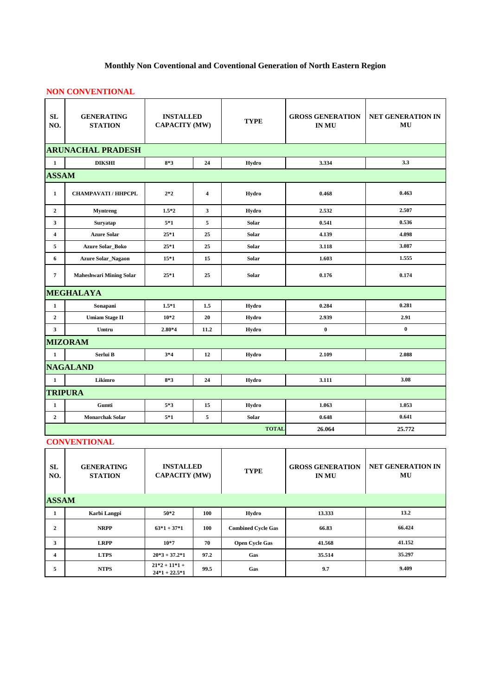## **Monthly Non Coventional and Coventional Generation of North Eastern Region**

## **NON CONVENTIONAL**

| SL<br>NO.      | <b>GENERATING</b><br><b>STATION</b> | <b>INSTALLED</b><br><b>CAPACITY (MW)</b> |                         | <b>TYPE</b>  | <b>GROSS GENERATION</b><br><b>IN MU</b> | <b>NET GENERATION IN</b><br>MU |
|----------------|-------------------------------------|------------------------------------------|-------------------------|--------------|-----------------------------------------|--------------------------------|
|                | <b>ARUNACHAL PRADESH</b>            |                                          |                         |              |                                         |                                |
| $\mathbf{1}$   | <b>DIKSHI</b>                       | $8*3$                                    | 24                      | Hydro        | 3.334                                   | 3.3                            |
| <b>ASSAM</b>   |                                     |                                          |                         |              |                                         |                                |
| $\mathbf{1}$   | <b>CHAMPAVATI / HHPCPL</b>          | $2*2$                                    | $\overline{\mathbf{4}}$ | Hydro        | 0.468                                   | 0.463                          |
| $\overline{2}$ | <b>Myntreng</b>                     | $1.5*2$                                  | $3^{\circ}$             | Hydro        | 2.532                                   | 2.507                          |
| 3              | Suryatap                            | $5*1$                                    | 5                       | Solar        | 0.541                                   | 0.536                          |
| 4              | <b>Azure Solar</b>                  | $25*1$                                   | 25                      | <b>Solar</b> | 4.139                                   | 4.098                          |
| 5              | <b>Azure Solar_Boko</b>             | $25*1$                                   | 25                      | <b>Solar</b> | 3.118                                   | 3.087                          |
| 6              | <b>Azure Solar_Nagaon</b>           | $15*1$                                   | 15                      | <b>Solar</b> | 1.603                                   | 1.555                          |
| $\overline{7}$ | Maheshwari Mining Solar             | $25*1$                                   | 25                      | Solar        | 0.176                                   | 0.174                          |
|                | <b>MEGHALAYA</b>                    |                                          |                         |              |                                         |                                |
| $\mathbf{1}$   | Sonapani                            | $1.5*1$                                  | 1.5                     | Hydro        | 0.284                                   | 0.281                          |
| $\overline{2}$ | <b>Umiam Stage II</b>               | $10*2$                                   | 20                      | Hydro        | 2.939                                   | 2.91                           |
| $\mathbf{3}$   | Umtru                               | $2.80*4$                                 | 11.2                    | Hydro        | $\bf{0}$                                | $\boldsymbol{0}$               |
|                | <b>MIZORAM</b>                      |                                          |                         |              |                                         |                                |
| $\mathbf{1}$   | Serlui B                            | $3*4$                                    | 12                      | Hydro        | 2.109                                   | 2.088                          |
|                | <b>NAGALAND</b>                     |                                          |                         |              |                                         |                                |
| $\mathbf{1}$   | Likimro                             | $8*3$                                    | 24                      | Hydro        | 3.111                                   | 3.08                           |
|                | <b>TRIPURA</b>                      |                                          |                         |              |                                         |                                |
| $\mathbf{1}$   | Gumti                               | $5*3$                                    | 15                      | Hydro        | 1.063                                   | 1.053                          |
| $\overline{2}$ | <b>Monarchak Solar</b>              | $5*1$                                    | 5                       | Solar        | 0.648                                   | 0.641                          |
|                |                                     |                                          | <b>TOTAL</b>            | 26.064       | 25.772                                  |                                |

## **CONVENTIONAL**

| <b>SL</b><br>NO. | <b>GENERATING</b><br><b>STATION</b> | <b>INSTALLED</b><br><b>CAPACITY (MW)</b> |            | <b>TYPE</b>               | <b>GROSS GENERATION</b><br><b>IN MU</b> | <b>NET GENERATION IN</b><br>MU |
|------------------|-------------------------------------|------------------------------------------|------------|---------------------------|-----------------------------------------|--------------------------------|
| <b>ASSAM</b>     |                                     |                                          |            |                           |                                         |                                |
| 1                | Karbi Langpi                        | $50*2$                                   | 100        | Hydro                     | 13.333                                  | 13.2                           |
| $\overline{2}$   | <b>NRPP</b>                         | $63*1+37*1$                              | <b>100</b> | <b>Combined Cycle Gas</b> | 66.83                                   | 66.424                         |
| 3                | <b>LRPP</b>                         | $10*7$                                   | 70         | <b>Open Cycle Gas</b>     | 41.568                                  | 41.152                         |
| 4                | <b>LTPS</b>                         | $20*3+37.2*1$                            | 97.2       | Gas                       | 35.514                                  | 35.297                         |
| 5                | <b>NTPS</b>                         | $21*2+11*1+$<br>$24*1 + 22.5*1$          | 99.5       | Gas                       | 9.7                                     | 9.409                          |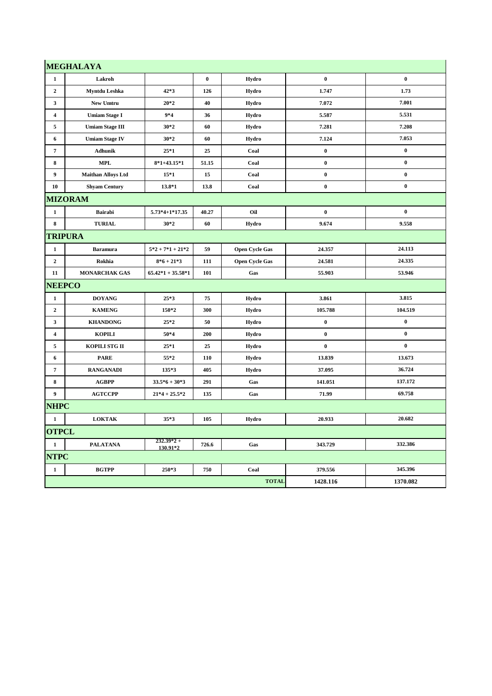|                  | <b>MEGHALAYA</b>          |                          |          |                       |           |                  |
|------------------|---------------------------|--------------------------|----------|-----------------------|-----------|------------------|
| $\mathbf{1}$     | Lakroh                    |                          | $\bf{0}$ | Hydro                 | $\bf{0}$  | $\boldsymbol{0}$ |
| $\overline{2}$   | Myntdu Leshka             | $42*3$                   | 126      | Hydro                 | 1.747     | 1.73             |
| $\mathbf{3}$     | New Umtru                 | $20*2$                   | 40       | Hydro                 | 7.072     | 7.001            |
| $\overline{4}$   | <b>Umiam Stage I</b>      | $9*4$                    | 36       | Hydro                 | 5.587     | 5.531            |
| 5                | <b>Umiam Stage III</b>    | $30*2$                   | 60       | Hydro                 | 7.281     | 7.208            |
| 6                | <b>Umiam Stage IV</b>     | $30*2$                   | 60       | Hydro                 | 7.124     | 7.053            |
| $\overline{7}$   | <b>Adhunik</b>            | $25*1$                   | 25       | Coal                  | $\bf{0}$  | $\pmb{0}$        |
| 8                | <b>MPL</b>                | $8*1+43.15*1$            | 51.15    | Coal                  | $\pmb{0}$ | $\pmb{0}$        |
| 9                | <b>Maithan Alloys Ltd</b> | $15*1$                   | 15       | Coal                  | $\pmb{0}$ | $\pmb{0}$        |
| 10               | <b>Shyam Century</b>      | 13.8*1                   | 13.8     | Coal                  | $\pmb{0}$ | $\bf{0}$         |
|                  | <b>MIZORAM</b>            |                          |          |                       |           |                  |
| $\mathbf{1}$     | <b>Bairabi</b>            | $5.73*4+1*17.35$         | 40.27    | Oil                   | $\bf{0}$  | $\bf{0}$         |
| 8                | <b>TURIAL</b>             | $30*2$                   | 60       | Hydro                 | 9.674     | 9.558            |
| <b>TRIPURA</b>   |                           |                          |          |                       |           |                  |
| $\mathbf{1}$     | <b>Baramura</b>           | $5*2+7*1+21*2$           | 59       | <b>Open Cycle Gas</b> | 24.357    | 24.113           |
| $\overline{2}$   | Rokhia                    | $8*6+21*3$               | 111      | <b>Open Cycle Gas</b> | 24.581    | 24.335           |
| 11               | <b>MONARCHAK GAS</b>      | $65.42*1 + 35.58*1$      | 101      | Gas                   | 55.903    | 53.946           |
| <b>NEEPCO</b>    |                           |                          |          |                       |           |                  |
| $\mathbf{1}$     | <b>DOYANG</b>             | $25*3$                   | 75       | Hydro                 | 3.861     | 3.815            |
| $\mathbf{2}$     | <b>KAMENG</b>             | 150*2                    | 300      | Hydro                 | 105.788   | 104.519          |
| 3                | <b>KHANDONG</b>           | $25*2$                   | 50       | Hydro                 | $\pmb{0}$ | $\pmb{0}$        |
| 4                | <b>KOPILI</b>             | $50*4$                   | 200      | Hydro                 | $\pmb{0}$ | $\bf{0}$         |
| 5                | KOPILI STG II             | $25*1$                   | 25       | Hydro                 | $\bf{0}$  | $\bf{0}$         |
| 6                | <b>PARE</b>               | $55*2$                   | 110      | Hydro                 | 13.839    | 13.673           |
| $\overline{7}$   | <b>RANGANADI</b>          | 135*3                    | 405      | Hydro                 | 37.095    | 36.724           |
| 8                | AGBPP                     | $33.5*6 + 30*3$          | 291      | Gas                   | 141.051   | 137.172          |
| $\boldsymbol{9}$ | <b>AGTCCPP</b>            | $21*4 + 25.5*2$          | 135      | Gas                   | 71.99     | 69.758           |
| <b>NHPC</b>      |                           |                          |          |                       |           |                  |
| $\mathbf{1}$     | <b>LOKTAK</b>             | $35*3$                   | 105      | Hydro                 | 20.933    | 20.682           |
| <b>OTPCL</b>     |                           |                          |          |                       |           |                  |
| $\mathbf{1}$     | <b>PALATANA</b>           | $232.39*2 +$<br>130.91*2 | 726.6    | Gas                   | 343.729   | 332.386          |
| <b>NTPC</b>      |                           |                          |          |                       |           |                  |
| $\mathbf{1}$     | <b>BGTPP</b>              | 250*3                    | 750      | Coal                  | 379.556   | 345.396          |
|                  |                           |                          |          | <b>TOTAL</b>          | 1428.116  | 1370.082         |